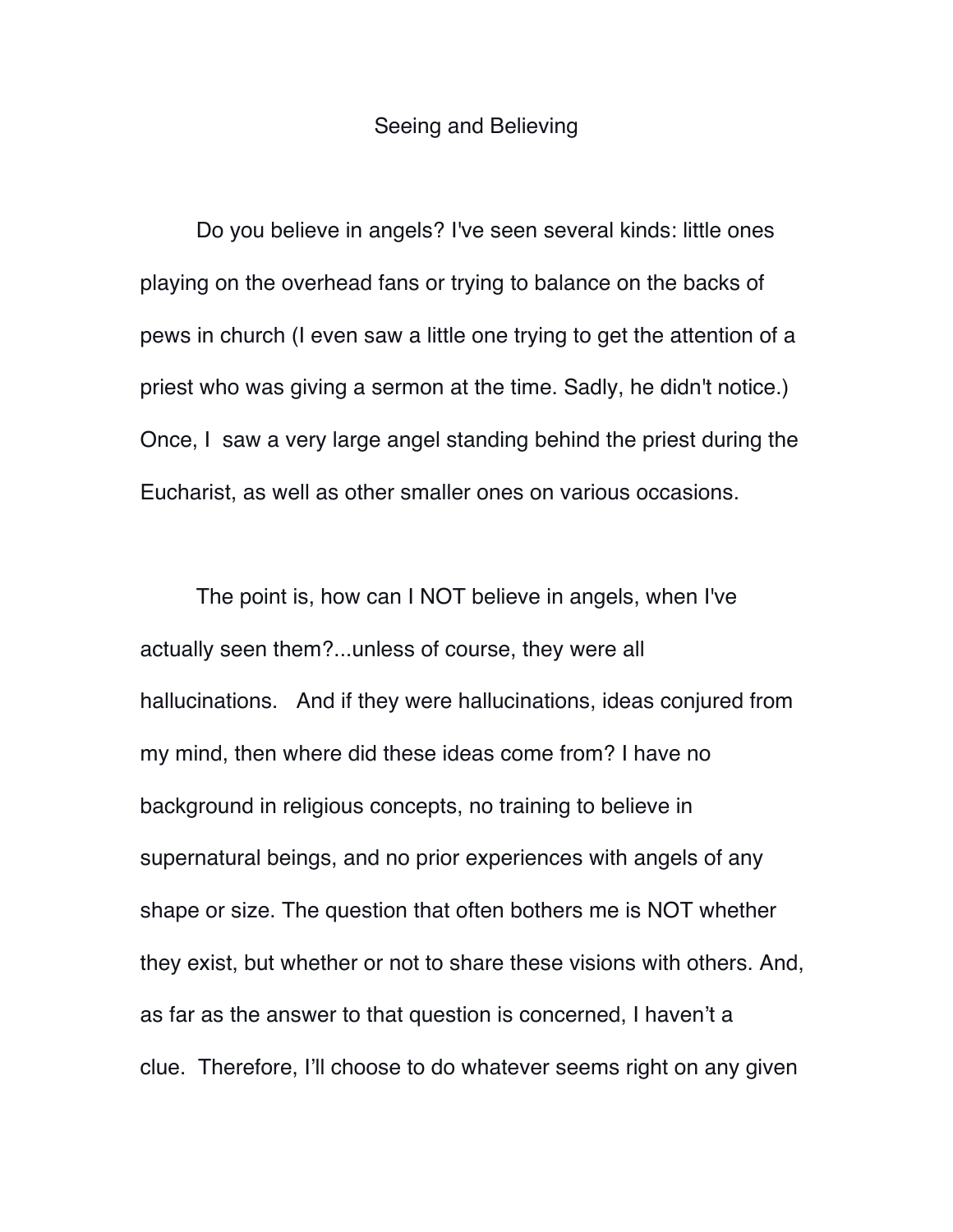## Seeing and Believing

Do you believe in angels? I've seen several kinds: little ones playing on the overhead fans or trying to balance on the backs of pews in church (I even saw a little one trying to get the attention of a priest who was giving a sermon at the time. Sadly, he didn't notice.) Once, I saw a very large angel standing behind the priest during the Eucharist, as well as other smaller ones on various occasions.

The point is, how can I NOT believe in angels, when I've actually seen them?...unless of course, they were all hallucinations. And if they were hallucinations, ideas conjured from my mind, then where did these ideas come from? I have no background in religious concepts, no training to believe in supernatural beings, and no prior experiences with angels of any shape or size. The question that often bothers me is NOT whether they exist, but whether or not to share these visions with others. And, as far as the answer to that question is concerned, I haven't a clue. Therefore, I'll choose to do whatever seems right on any given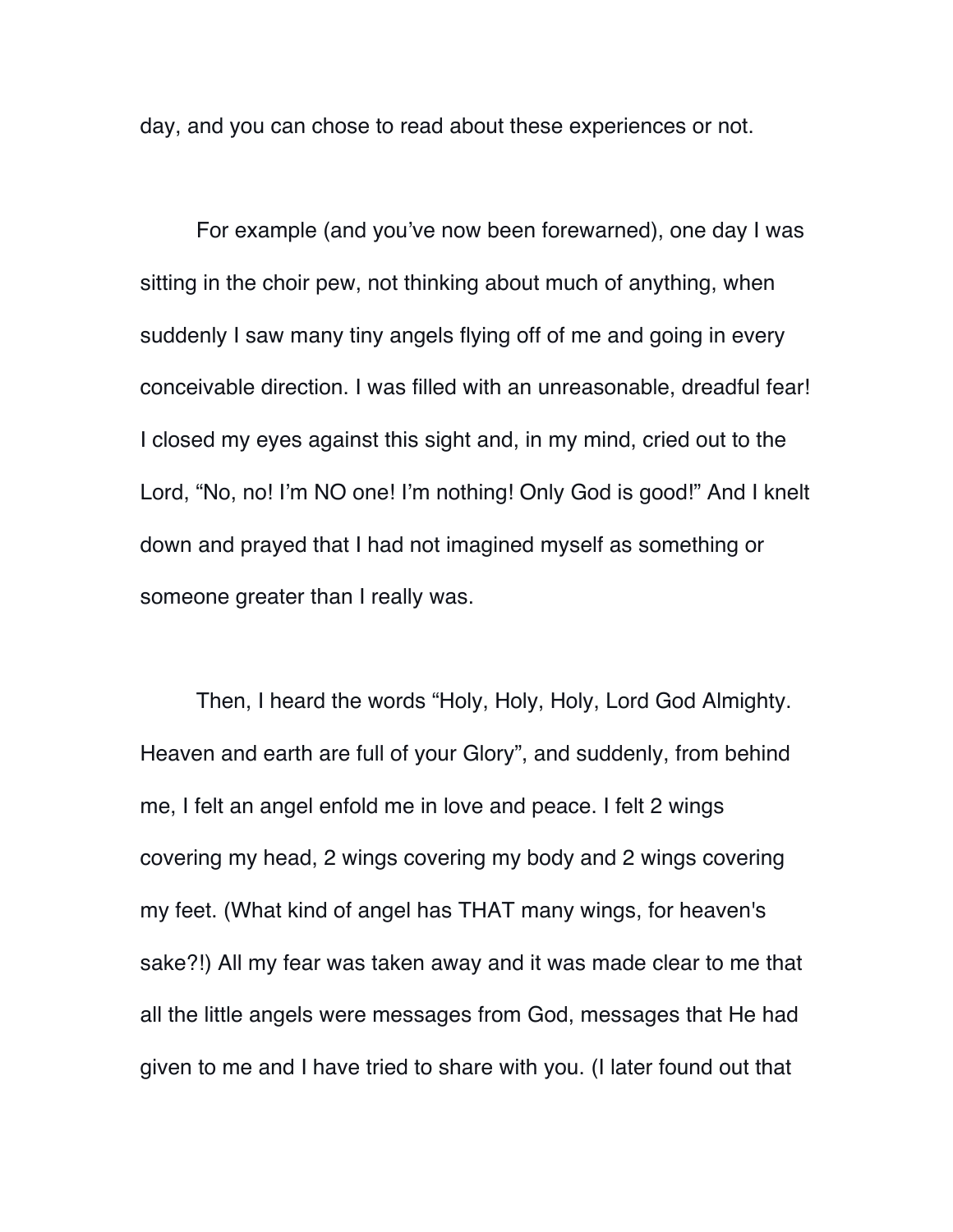day, and you can chose to read about these experiences or not.

For example (and you've now been forewarned), one day I was sitting in the choir pew, not thinking about much of anything, when suddenly I saw many tiny angels flying off of me and going in every conceivable direction. I was filled with an unreasonable, dreadful fear! I closed my eyes against this sight and, in my mind, cried out to the Lord, "No, no! I'm NO one! I'm nothing! Only God is good!" And I knelt down and prayed that I had not imagined myself as something or someone greater than I really was.

Then, I heard the words "Holy, Holy, Holy, Lord God Almighty. Heaven and earth are full of your Glory", and suddenly, from behind me, I felt an angel enfold me in love and peace. I felt 2 wings covering my head, 2 wings covering my body and 2 wings covering my feet. (What kind of angel has THAT many wings, for heaven's sake?!) All my fear was taken away and it was made clear to me that all the little angels were messages from God, messages that He had given to me and I have tried to share with you. (I later found out that